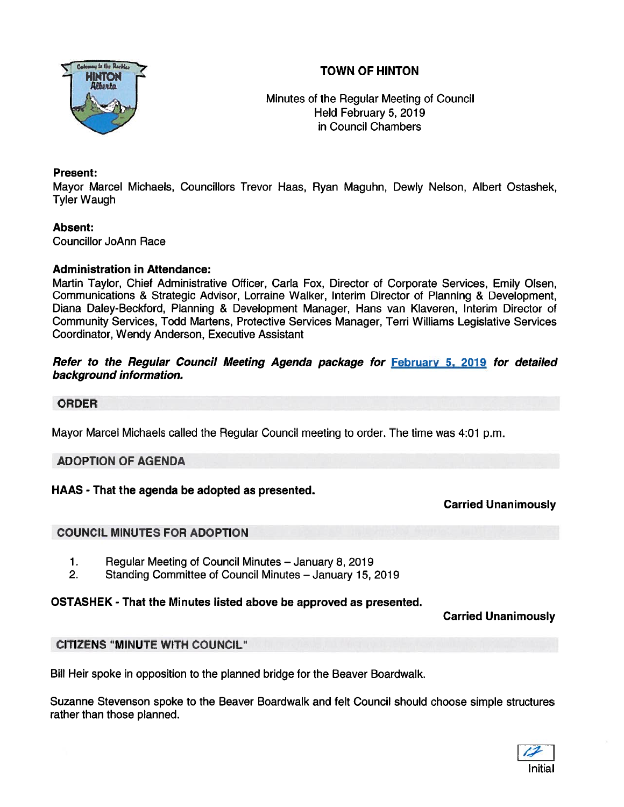



Minutes of the Regular Meeting of Council Held February 5, 2019 in Council Chambers

## Present:

Mayor Marcel Michaels, Councillors Trevor Haas, Ryan Maguhn, Dewly Nelson, Albert Ostashek, Tyler Waugh

## Absent:

Councillor JoAnn Race

#### Administration in Attendance:

Martin Taylor, Chief Administrative Officer, Carla Fox, Director of Corporate Services, Emily Olsen, Communications & Strategic Advisor, Lorraine Walker, Interim Director of Planning & Development, Diana Daley-Beckford, Planning & Development Manager, Hans van Klaveren, Interim Director of Community Services, Todd Martens, Protective Services Manager, Terri Williams Legislative Services Coordinator, Wendy Anderson, Executive Assistant

#### Refer to the Regular Council Meeting Agenda package for February 5, 2019 for detailed background information.

#### ORDER

Mayor Marcel Michaels called the Regular Council meeting to order. The time was 4:01 p.m.

#### ADOPTION OF AGENDA

## HAAS - That the agenda be adopted as presented.

Carried Unanimously

## COUNCIL MINUTES FOR ADOPTION

- 1. Regular Meeting of Council Minutes January 8, 2019
- 2. Standing Committee of Council Minutes January 15, 2019

## OSTASHEK - That the Minutes listed above be approved as presented.

Carried Unanimously

## CITIZENS "MINUTE WITH COUNCIL"

Bill Heir spoke in opposition to the planned bridge for the Beaver Boardwalk.

Suzanne Stevenson spoke to the Beaver Boardwalk and felt Council should choose simple structures rather than those planned.

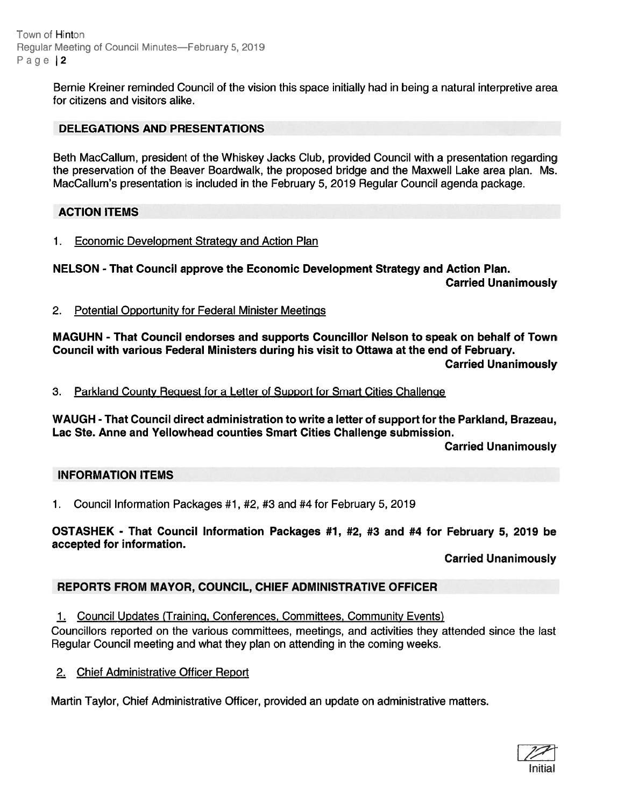Town of Hinton Regular Meeting of Council Minutes—February 5, 2019 Page 2

> Bernie Kreiner reminded Council of the vision this space initially had in being a natural interpretive area for citizens and visitors alike.

# DELEGATIONS AND PRESENTATIONS

Beth MacCallum, president of the Whiskey Jacks Club, provided Council with <sup>a</sup> presentation regarding the preservation of the Beaver Boardwalk, the proposed bridge and the Maxwell Lake area plan. Ms. MacCallum's presentation is included in the February 5, 2019 Regular Council agenda package.

# ACTION ITEMS

1. Economic Development Strategy and Action Plan

NELSON - That Council approve the Economic Development Strategy and Action Plan.

Carried Unanimously

2. Potential Opportunity for Federal Minister Meetings

MAGUHN - That Council endorses and supports Councillor Nelson to speak on behalf of Town Council with various Federal Ministers during his visit to Ottawa at the end of February. Carried Unanimously

3. Parkland County Reguest for <sup>a</sup> Letter of Support for Smart Cities Challenge

WAUGH -That Council direct administration to write <sup>a</sup> letter of suppor<sup>t</sup> for the Parkland, Brazeau, Lac Ste. Anne and Yellowhead counties Smart Cities Challenge submission.

Carried Unanimously

## INFORMATION ITEMS

1. Council Information Packages #1, #2, #3 and #4 for February 5, 2019

OSTASHEK - That Council Information Packages #1, #2, #3 and #4 for February 5, 2019 be accepted for information.

Carried Unanimously

# REPORTS FROM MAYOR, COUNCIL, CHIEF ADMINISTRATIVE OFFICER

1. Council Updates (Training, Conferences, Committees, Community Events)

Councillors reported on the various committees, meetings, and activities they attended since the last Regular Council meeting and what they plan on attending in the coming weeks.

2. Chief Administrative Officer Report

Martin Taylor, Chief Administrative Officer, provided an update on administrative matters.